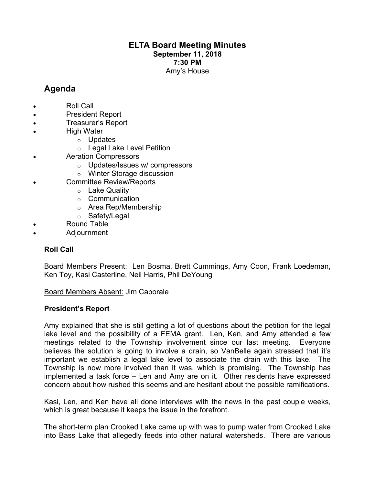# **ELTA Board Meeting Minutes September 11, 2018 7:30 PM** Amy's House

# **Agenda**

- Roll Call
- President Report
- Treasurer's Report
- **High Water** 
	- o Updates
	- o Legal Lake Level Petition
- Aeration Compressors
	- o Updates/Issues w/ compressors
	- o Winter Storage discussion
- Committee Review/Reports
	- o Lake Quality
	- o Communication
	- o Area Rep/Membership
	- o Safety/Legal
- Round Table
- Adjournment

## **Roll Call**

Board Members Present: Len Bosma, Brett Cummings, Amy Coon, Frank Loedeman, Ken Toy, Kasi Casterline, Neil Harris, Phil DeYoung

Board Members Absent: Jim Caporale

### **President's Report**

Amy explained that she is still getting a lot of questions about the petition for the legal lake level and the possibility of a FEMA grant. Len, Ken, and Amy attended a few meetings related to the Township involvement since our last meeting. Everyone believes the solution is going to involve a drain, so VanBelle again stressed that it's important we establish a legal lake level to associate the drain with this lake. The Township is now more involved than it was, which is promising. The Township has implemented a task force – Len and Amy are on it. Other residents have expressed concern about how rushed this seems and are hesitant about the possible ramifications.

Kasi, Len, and Ken have all done interviews with the news in the past couple weeks, which is great because it keeps the issue in the forefront.

The short-term plan Crooked Lake came up with was to pump water from Crooked Lake into Bass Lake that allegedly feeds into other natural watersheds. There are various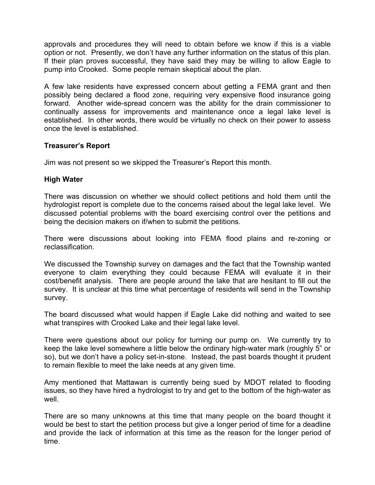approvals and procedures they will need to obtain before we know if this is a viable option or not. Presently, we don't have any further information on the status of this plan. If their plan proves successful, they have said they may be willing to allow Eagle to pump into Crooked. Some people remain skeptical about the plan.

A few lake residents have expressed concern about getting a FEMA grant and then possibly being declared a flood zone, requiring very expensive flood insurance going forward. Another wide-spread concern was the ability for the drain commissioner to continually assess for improvements and maintenance once a legal lake level is established. In other words, there would be virtually no check on their power to assess once the level is established.

### **Treasurer's Report**

Jim was not present so we skipped the Treasurer's Report this month.

### **High Water**

There was discussion on whether we should collect petitions and hold them until the hydrologist report is complete due to the concerns raised about the legal lake level. We discussed potential problems with the board exercising control over the petitions and being the decision makers on if/when to submit the petitions.

There were discussions about looking into FEMA flood plains and re-zoning or reclassification.

We discussed the Township survey on damages and the fact that the Township wanted everyone to claim everything they could because FEMA will evaluate it in their cost/benefit analysis. There are people around the lake that are hesitant to fill out the survey. It is unclear at this time what percentage of residents will send in the Township survey.

The board discussed what would happen if Eagle Lake did nothing and waited to see what transpires with Crooked Lake and their legal lake level.

There were questions about our policy for turning our pump on. We currently try to keep the lake level somewhere a little below the ordinary high-water mark (roughly 5" or so), but we don't have a policy set-in-stone. Instead, the past boards thought it prudent to remain flexible to meet the lake needs at any given time.

Amy mentioned that Mattawan is currently being sued by MDOT related to flooding issues, so they have hired a hydrologist to try and get to the bottom of the high-water as well.

There are so many unknowns at this time that many people on the board thought it would be best to start the petition process but give a longer period of time for a deadline and provide the lack of information at this time as the reason for the longer period of time.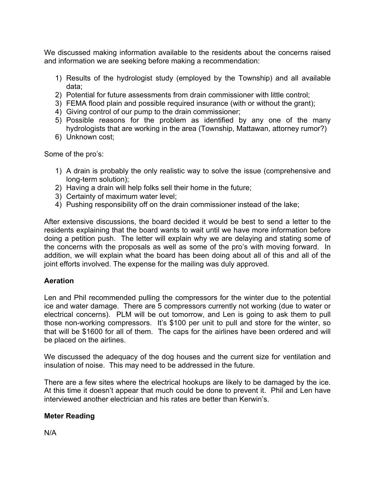We discussed making information available to the residents about the concerns raised and information we are seeking before making a recommendation:

- 1) Results of the hydrologist study (employed by the Township) and all available data;
- 2) Potential for future assessments from drain commissioner with little control;
- 3) FEMA flood plain and possible required insurance (with or without the grant);
- 4) Giving control of our pump to the drain commissioner;
- 5) Possible reasons for the problem as identified by any one of the many hydrologists that are working in the area (Township, Mattawan, attorney rumor?)
- 6) Unknown cost;

Some of the pro's:

- 1) A drain is probably the only realistic way to solve the issue (comprehensive and long-term solution);
- 2) Having a drain will help folks sell their home in the future;
- 3) Certainty of maximum water level;
- 4) Pushing responsibility off on the drain commissioner instead of the lake;

After extensive discussions, the board decided it would be best to send a letter to the residents explaining that the board wants to wait until we have more information before doing a petition push. The letter will explain why we are delaying and stating some of the concerns with the proposals as well as some of the pro's with moving forward. In addition, we will explain what the board has been doing about all of this and all of the joint efforts involved. The expense for the mailing was duly approved.

## **Aeration**

Len and Phil recommended pulling the compressors for the winter due to the potential ice and water damage. There are 5 compressors currently not working (due to water or electrical concerns). PLM will be out tomorrow, and Len is going to ask them to pull those non-working compressors. It's \$100 per unit to pull and store for the winter, so that will be \$1600 for all of them. The caps for the airlines have been ordered and will be placed on the airlines.

We discussed the adequacy of the dog houses and the current size for ventilation and insulation of noise. This may need to be addressed in the future.

There are a few sites where the electrical hookups are likely to be damaged by the ice. At this time it doesn't appear that much could be done to prevent it. Phil and Len have interviewed another electrician and his rates are better than Kerwin's.

# **Meter Reading**

N/A